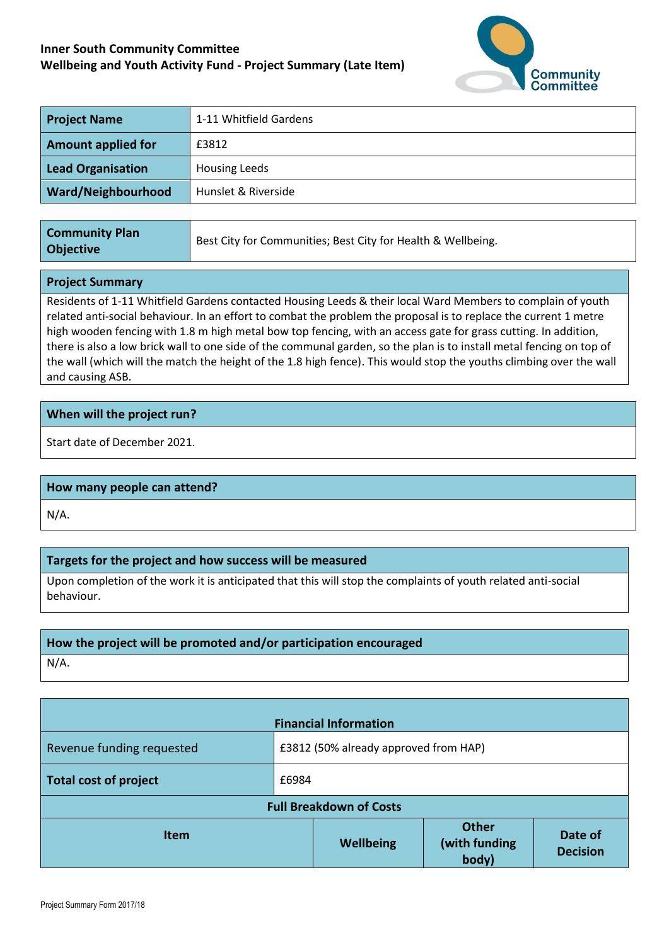# **Inner South Community Committee Wellbeing and Youth Activity Fund - Project Summary (Late Item)**



| <b>Project Name</b>       | 1-11 Whitfield Gardens |  |
|---------------------------|------------------------|--|
| <b>Amount applied for</b> | £3812                  |  |
| <b>Lead Organisation</b>  | <b>Housing Leeds</b>   |  |
| Ward/Neighbourhood        | Hunslet & Riverside    |  |
|                           |                        |  |

| <b>Community Plan</b><br><b>Objective</b> | Best City for Communities; Best City for Health & Wellbeing. |
|-------------------------------------------|--------------------------------------------------------------|
|-------------------------------------------|--------------------------------------------------------------|

#### **Project Summary**

Residents of 1-11 Whitfield Gardens contacted Housing Leeds & their local Ward Members to complain of youth related anti-social behaviour. In an effort to combat the problem the proposal is to replace the current 1 metre high wooden fencing with 1.8 m high metal bow top fencing, with an access gate for grass cutting. In addition, there is also a low brick wall to one side of the communal garden, so the plan is to install metal fencing on top of the wall (which will the match the height of the 1.8 high fence). This would stop the youths climbing over the wall and causing ASB.

## **When will the project run?**

Start date of December 2021.

### **How many people can attend?**

N/A.

## **Targets for the project and how success will be measured**

Upon completion of the work it is anticipated that this will stop the complaints of youth related anti-social behaviour.

### **How the project will be promoted and/or participation encouraged**

N/A.

| <b>Financial Information</b>   |                                       |           |                                        |                            |  |  |  |
|--------------------------------|---------------------------------------|-----------|----------------------------------------|----------------------------|--|--|--|
| Revenue funding requested      | £3812 (50% already approved from HAP) |           |                                        |                            |  |  |  |
| Total cost of project          | £6984                                 |           |                                        |                            |  |  |  |
| <b>Full Breakdown of Costs</b> |                                       |           |                                        |                            |  |  |  |
| <b>Item</b>                    |                                       | Wellbeing | <b>Other</b><br>(with funding<br>body) | Date of<br><b>Decision</b> |  |  |  |